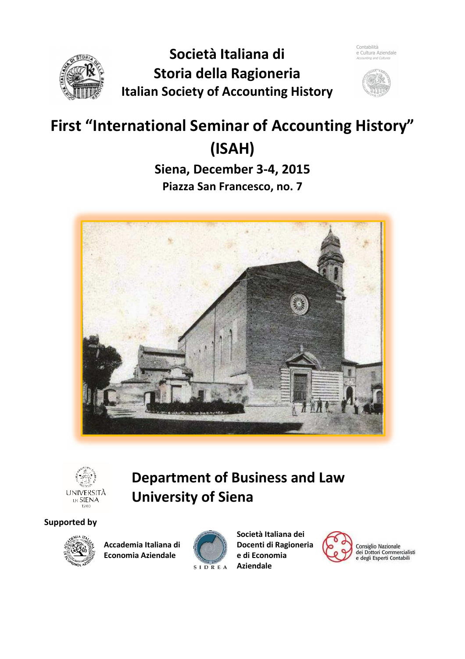



# **First "International Seminar of Accounting History" (ISAH)**

**Siena, December 3-4, 2015 Piazza San Francesco, no. 7** 





# **Department of Business and Law University of Siena**

### **Supported by**



**Accademia Italiana di Economia Aziendale**



**Società Italiana dei Docenti di Ragioneria e di Economia Aziendale**



Consiglio Nazionale<br>dei Dottori Commercialisti<br>e degli Esperti Contabili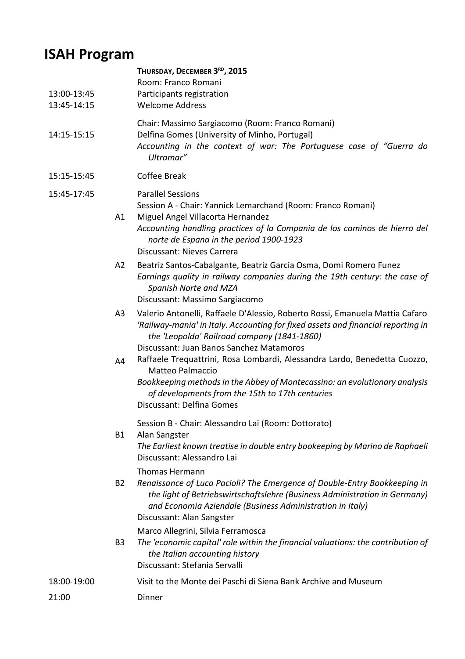# **ISAH Program**

| 13:00-13:45<br>13:45-14:15 |                | THURSDAY, DECEMBER 3RD, 2015<br>Room: Franco Romani<br>Participants registration<br><b>Welcome Address</b>                                                                                                                                                                 |
|----------------------------|----------------|----------------------------------------------------------------------------------------------------------------------------------------------------------------------------------------------------------------------------------------------------------------------------|
| 14:15-15:15                |                | Chair: Massimo Sargiacomo (Room: Franco Romani)<br>Delfina Gomes (University of Minho, Portugal)<br>Accounting in the context of war: The Portuguese case of "Guerra do<br>Ultramar"                                                                                       |
| 15:15-15:45                |                | <b>Coffee Break</b>                                                                                                                                                                                                                                                        |
| 15:45-17:45                |                | <b>Parallel Sessions</b><br>Session A - Chair: Yannick Lemarchand (Room: Franco Romani)                                                                                                                                                                                    |
|                            | A1             | Miguel Angel Villacorta Hernandez<br>Accounting handling practices of la Compania de los caminos de hierro del<br>norte de Espana in the period 1900-1923<br>Discussant: Nieves Carrera                                                                                    |
|                            | A2             | Beatriz Santos-Cabalgante, Beatriz Garcia Osma, Domi Romero Funez<br>Earnings quality in railway companies during the 19th century: the case of<br>Spanish Norte and MZA<br>Discussant: Massimo Sargiacomo                                                                 |
|                            | A <sub>3</sub> | Valerio Antonelli, Raffaele D'Alessio, Roberto Rossi, Emanuela Mattia Cafaro<br>'Railway-mania' in Italy. Accounting for fixed assets and financial reporting in<br>the 'Leopolda' Railroad company (1841-1860)<br>Discussant: Juan Banos Sanchez Matamoros                |
|                            | A4             | Raffaele Trequattrini, Rosa Lombardi, Alessandra Lardo, Benedetta Cuozzo,<br>Matteo Palmaccio<br>Bookkeeping methods in the Abbey of Montecassino: an evolutionary analysis<br>of developments from the 15th to 17th centuries<br>Discussant: Delfina Gomes                |
|                            | <b>B1</b>      | Session B - Chair: Alessandro Lai (Room: Dottorato)<br>Alan Sangster<br>The Earliest known treatise in double entry bookeeping by Marino de Raphaeli<br>Discussant: Alessandro Lai                                                                                         |
|                            | <b>B2</b>      | <b>Thomas Hermann</b><br>Renaissance of Luca Pacioli? The Emergence of Double-Entry Bookkeeping in<br>the light of Betriebswirtschaftslehre (Business Administration in Germany)<br>and Economia Aziendale (Business Administration in Italy)<br>Discussant: Alan Sangster |
|                            | B <sub>3</sub> | Marco Allegrini, Silvia Ferramosca<br>The 'economic capital' role within the financial valuations: the contribution of<br>the Italian accounting history<br>Discussant: Stefania Servalli                                                                                  |
| 18:00-19:00                |                | Visit to the Monte dei Paschi di Siena Bank Archive and Museum                                                                                                                                                                                                             |
| 21:00                      |                | Dinner                                                                                                                                                                                                                                                                     |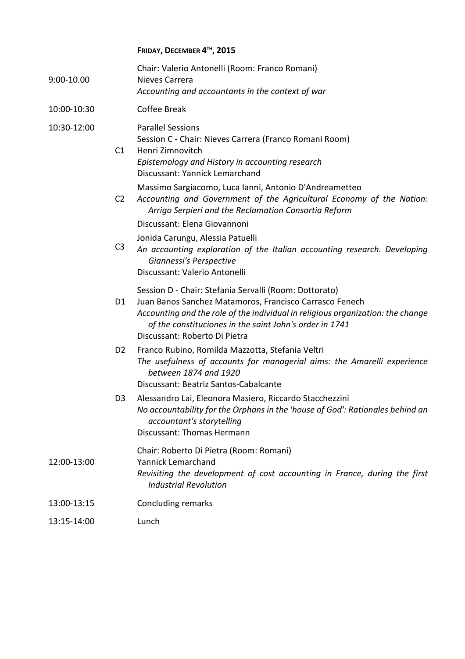### **FRIDAY, DECEMBER 4 TH , 2015**

| 9:00-10.00  |                | Chair: Valerio Antonelli (Room: Franco Romani)<br>Nieves Carrera<br>Accounting and accountants in the context of war                                                                                                                                                                             |
|-------------|----------------|--------------------------------------------------------------------------------------------------------------------------------------------------------------------------------------------------------------------------------------------------------------------------------------------------|
| 10:00-10:30 |                | <b>Coffee Break</b>                                                                                                                                                                                                                                                                              |
| 10:30-12:00 | C1             | <b>Parallel Sessions</b><br>Session C - Chair: Nieves Carrera (Franco Romani Room)<br>Henri Zimnovitch<br>Epistemology and History in accounting research<br>Discussant: Yannick Lemarchand                                                                                                      |
|             | C <sub>2</sub> | Massimo Sargiacomo, Luca Ianni, Antonio D'Andreametteo<br>Accounting and Government of the Agricultural Economy of the Nation:<br>Arrigo Serpieri and the Reclamation Consortia Reform<br>Discussant: Elena Giovannoni                                                                           |
|             | C <sub>3</sub> | Jonida Carungu, Alessia Patuelli<br>An accounting exploration of the Italian accounting research. Developing<br>Giannessi's Perspective<br>Discussant: Valerio Antonelli                                                                                                                         |
|             | D <sub>1</sub> | Session D - Chair: Stefania Servalli (Room: Dottorato)<br>Juan Banos Sanchez Matamoros, Francisco Carrasco Fenech<br>Accounting and the role of the individual in religious organization: the change<br>of the constituciones in the saint John's order in 1741<br>Discussant: Roberto Di Pietra |
|             | D <sub>2</sub> | Franco Rubino, Romilda Mazzotta, Stefania Veltri<br>The usefulness of accounts for managerial aims: the Amarelli experience<br>between 1874 and 1920<br>Discussant: Beatriz Santos-Cabalcante                                                                                                    |
|             | D <sub>3</sub> | Alessandro Lai, Eleonora Masiero, Riccardo Stacchezzini<br>No accountability for the Orphans in the 'house of God': Rationales behind an<br>accountant's storytelling<br>Discussant: Thomas Hermann                                                                                              |
| 12:00-13:00 |                | Chair: Roberto Di Pietra (Room: Romani)<br>Yannick Lemarchand<br>Revisiting the development of cost accounting in France, during the first<br><b>Industrial Revolution</b>                                                                                                                       |
| 13:00-13:15 |                | <b>Concluding remarks</b>                                                                                                                                                                                                                                                                        |
| 13:15-14:00 |                | Lunch                                                                                                                                                                                                                                                                                            |